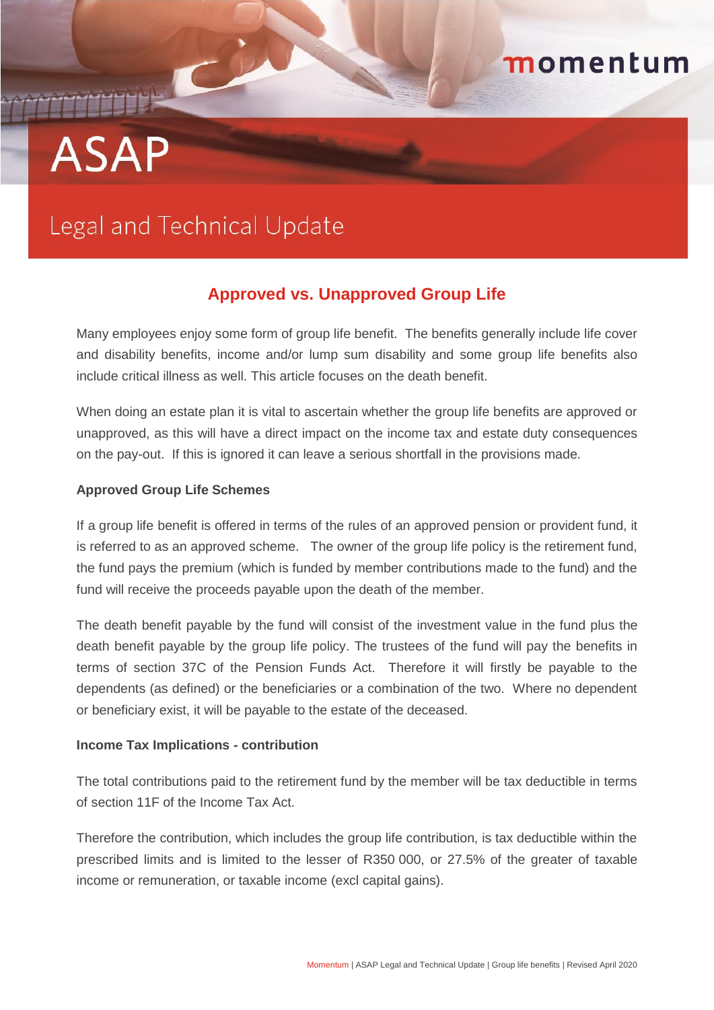# **ASAP**

## Legal and Technical Update

### **Approved vs. Unapproved Group Life**

momentum

Many employees enjoy some form of group life benefit. The benefits generally include life cover and disability benefits, income and/or lump sum disability and some group life benefits also include critical illness as well. This article focuses on the death benefit.

When doing an estate plan it is vital to ascertain whether the group life benefits are approved or unapproved, as this will have a direct impact on the income tax and estate duty consequences on the pay-out. If this is ignored it can leave a serious shortfall in the provisions made.

#### **Approved Group Life Schemes**

If a group life benefit is offered in terms of the rules of an approved pension or provident fund, it is referred to as an approved scheme. The owner of the group life policy is the retirement fund, the fund pays the premium (which is funded by member contributions made to the fund) and the fund will receive the proceeds payable upon the death of the member.

The death benefit payable by the fund will consist of the investment value in the fund plus the death benefit payable by the group life policy. The trustees of the fund will pay the benefits in terms of section 37C of the Pension Funds Act. Therefore it will firstly be payable to the dependents (as defined) or the beneficiaries or a combination of the two. Where no dependent or beneficiary exist, it will be payable to the estate of the deceased.

#### **Income Tax Implications - contribution**

The total contributions paid to the retirement fund by the member will be tax deductible in terms of section 11F of the Income Tax Act.

Therefore the contribution, which includes the group life contribution, is tax deductible within the prescribed limits and is limited to the lesser of R350 000, or 27.5% of the greater of taxable income or remuneration, or taxable income (excl capital gains).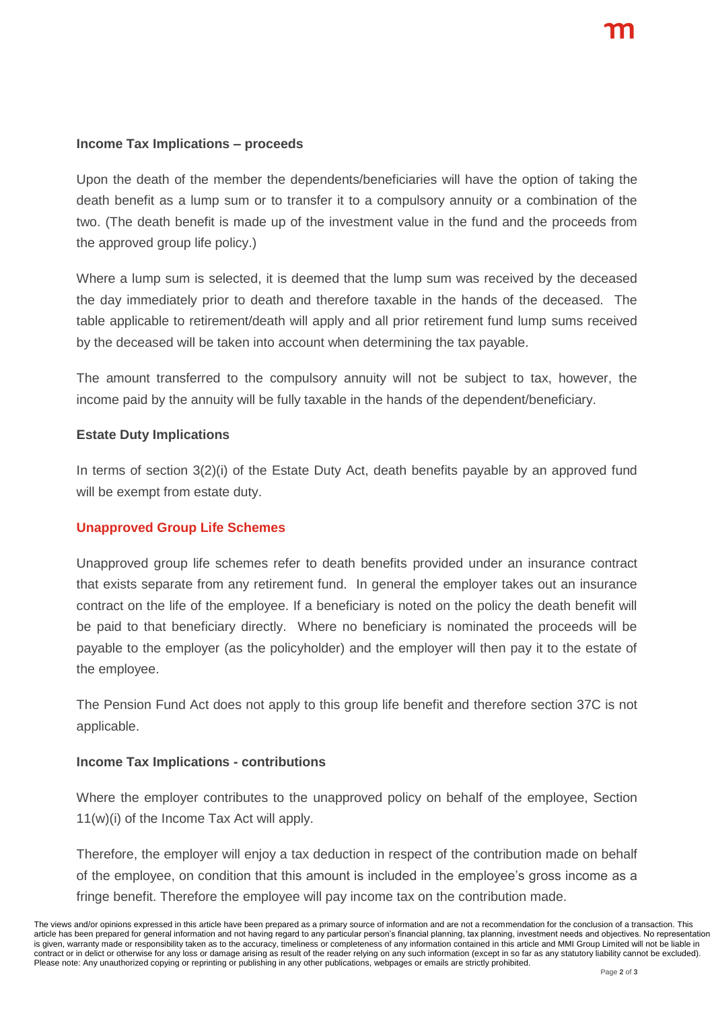#### **Income Tax Implications – proceeds**

Upon the death of the member the dependents/beneficiaries will have the option of taking the death benefit as a lump sum or to transfer it to a compulsory annuity or a combination of the two. (The death benefit is made up of the investment value in the fund and the proceeds from the approved group life policy.)

Where a lump sum is selected, it is deemed that the lump sum was received by the deceased the day immediately prior to death and therefore taxable in the hands of the deceased. The table applicable to retirement/death will apply and all prior retirement fund lump sums received by the deceased will be taken into account when determining the tax payable.

The amount transferred to the compulsory annuity will not be subject to tax, however, the income paid by the annuity will be fully taxable in the hands of the dependent/beneficiary.

#### **Estate Duty Implications**

In terms of section 3(2)(i) of the Estate Duty Act, death benefits payable by an approved fund will be exempt from estate duty.

#### **Unapproved Group Life Schemes**

Unapproved group life schemes refer to death benefits provided under an insurance contract that exists separate from any retirement fund. In general the employer takes out an insurance contract on the life of the employee. If a beneficiary is noted on the policy the death benefit will be paid to that beneficiary directly. Where no beneficiary is nominated the proceeds will be payable to the employer (as the policyholder) and the employer will then pay it to the estate of the employee.

The Pension Fund Act does not apply to this group life benefit and therefore section 37C is not applicable.

#### **Income Tax Implications - contributions**

Where the employer contributes to the unapproved policy on behalf of the employee, Section 11(w)(i) of the Income Tax Act will apply.

Therefore, the employer will enjoy a tax deduction in respect of the contribution made on behalf of the employee, on condition that this amount is included in the employee's gross income as a fringe benefit. Therefore the employee will pay income tax on the contribution made.